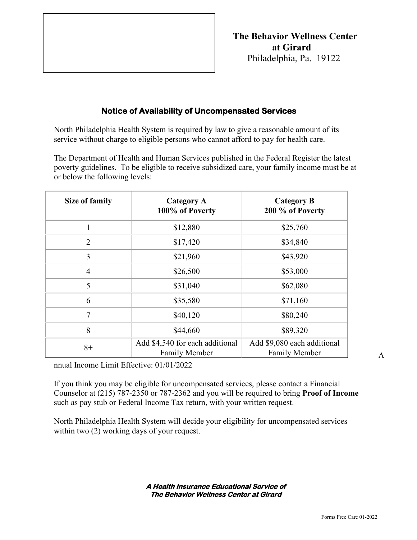

## **Notice of Availability of Uncompensated Services**

North Philadelphia Health System is required by law to give a reasonable amount of its service without charge to eligible persons who cannot afford to pay for health care.

The Department of Health and Human Services published in the Federal Register the latest poverty guidelines. To be eligible to receive subsidized care, your family income must be at or below the following levels:

| <b>Size of family</b> | <b>Category A</b><br>100% of Poverty                    | <b>Category B</b><br>200 % of Poverty               |
|-----------------------|---------------------------------------------------------|-----------------------------------------------------|
| 1                     | \$12,880                                                | \$25,760                                            |
| $\overline{2}$        | \$17,420                                                | \$34,840                                            |
| 3                     | \$21,960                                                | \$43,920                                            |
| $\overline{4}$        | \$26,500                                                | \$53,000                                            |
| 5                     | \$31,040                                                | \$62,080                                            |
| 6                     | \$35,580                                                | \$71,160                                            |
| 7                     | \$40,120                                                | \$80,240                                            |
| 8                     | \$44,660                                                | \$89,320                                            |
| $8+$                  | Add \$4,540 for each additional<br><b>Family Member</b> | Add \$9,080 each additional<br><b>Family Member</b> |

nnual Income Limit Effective: 01/01/2022

If you think you may be eligible for uncompensated services, please contact a Financial Counselor at (215) 787-2350 or 787-2362 and you will be required to bring **Proof of Income** such as pay stub or Federal Income Tax return, with your written request.

North Philadelphia Health System will decide your eligibility for uncompensated services within two  $(2)$  working days of your request.

> **A Health Insurance Educational Service of The Behavior Wellness Center at Girard**